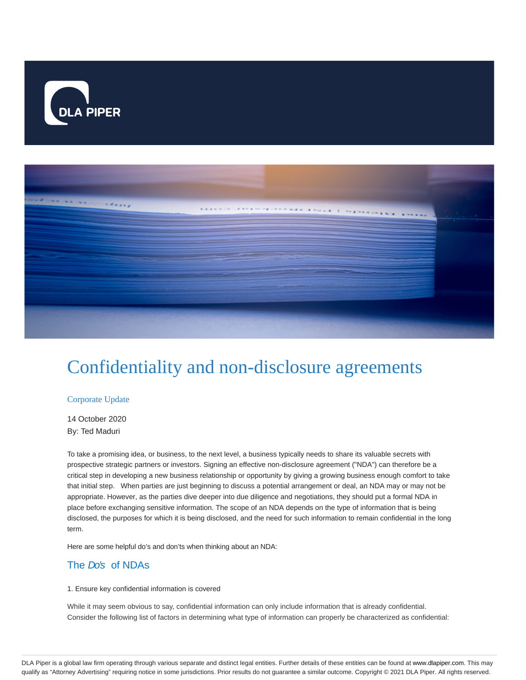



# Confidentiality and non-disclosure agreements

## Corporate Update

14 October 2020 By: Ted Maduri

To take a promising idea, or business, to the next level, a business typically needs to share its valuable secrets with prospective strategic partners or investors. Signing an effective non-disclosure agreement ("NDA") can therefore be a critical step in developing a new business relationship or opportunity by giving a growing business enough comfort to take that initial step. When parties are just beginning to discuss a potential arrangement or deal, an NDA may or may not be appropriate. However, as the parties dive deeper into due diligence and negotiations, they should put a formal NDA in place before exchanging sensitive information. The scope of an NDA depends on the type of information that is being disclosed, the purposes for which it is being disclosed, and the need for such information to remain confidential in the long term.

Here are some helpful do's and don'ts when thinking about an NDA:

# The Do's of NDAs

## 1. Ensure key confidential information is covered

While it may seem obvious to say, confidential information can only include information that is already confidential. Consider the following list of factors in determining what type of information can properly be characterized as confidential:

DLA Piper is a global law firm operating through various separate and distinct legal entities. Further details of these entities can be found at www.dlapiper.com. This may qualify as "Attorney Advertising" requiring notice in some jurisdictions. Prior results do not guarantee a similar outcome. Copyright @ 2021 DLA Piper. All rights reserved.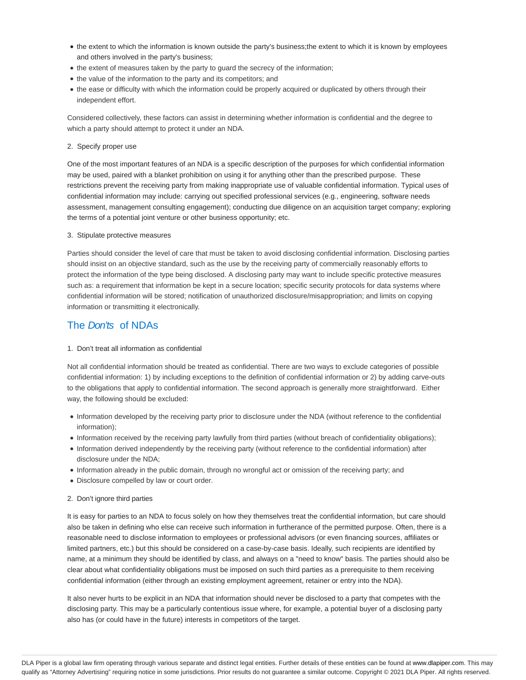- the extent to which the information is known outside the party's business;the extent to which it is known by employees and others involved in the party's business;
- the extent of measures taken by the party to quard the secrecy of the information;
- the value of the information to the party and its competitors; and
- the ease or difficulty with which the information could be properly acquired or duplicated by others through their independent effort.

Considered collectively, these factors can assist in determining whether information is confidential and the degree to which a party should attempt to protect it under an NDA.

## 2. Specify proper use

One of the most important features of an NDA is a specific description of the purposes for which confidential information may be used, paired with a blanket prohibition on using it for anything other than the prescribed purpose. These restrictions prevent the receiving party from making inappropriate use of valuable confidential information. Typical uses of confidential information may include: carrying out specified professional services (e.g., engineering, software needs assessment, management consulting engagement); conducting due diligence on an acquisition target company; exploring the terms of a potential joint venture or other business opportunity; etc.

## 3. Stipulate protective measures

Parties should consider the level of care that must be taken to avoid disclosing confidential information. Disclosing parties should insist on an objective standard, such as the use by the receiving party of commercially reasonably efforts to protect the information of the type being disclosed. A disclosing party may want to include specific protective measures such as: a requirement that information be kept in a secure location; specific security protocols for data systems where confidential information will be stored; notification of unauthorized disclosure/misappropriation; and limits on copying information or transmitting it electronically.

# The *Don'ts* of NDAs

## 1. Don't treat all information as confidential

Not all confidential information should be treated as confidential. There are two ways to exclude categories of possible confidential information: 1) by including exceptions to the definition of confidential information or 2) by adding carve-outs to the obligations that apply to confidential information. The second approach is generally more straightforward. Either way, the following should be excluded:

- Information developed by the receiving party prior to disclosure under the NDA (without reference to the confidential information);
- Information received by the receiving party lawfully from third parties (without breach of confidentiality obligations);
- Information derived independently by the receiving party (without reference to the confidential information) after disclosure under the NDA;
- Information already in the public domain, through no wrongful act or omission of the receiving party; and
- Disclosure compelled by law or court order.

## 2. Don't ignore third parties

It is easy for parties to an NDA to focus solely on how they themselves treat the confidential information, but care should also be taken in defining who else can receive such information in furtherance of the permitted purpose. Often, there is a reasonable need to disclose information to employees or professional advisors (or even financing sources, affiliates or limited partners, etc.) but this should be considered on a case-by-case basis. Ideally, such recipients are identified by name, at a minimum they should be identified by class, and always on a "need to know" basis. The parties should also be clear about what confidentiality obligations must be imposed on such third parties as a prerequisite to them receiving confidential information (either through an existing employment agreement, retainer or entry into the NDA).

It also never hurts to be explicit in an NDA that information should never be disclosed to a party that competes with the disclosing party. This may be a particularly contentious issue where, for example, a potential buyer of a disclosing party also has (or could have in the future) interests in competitors of the target.